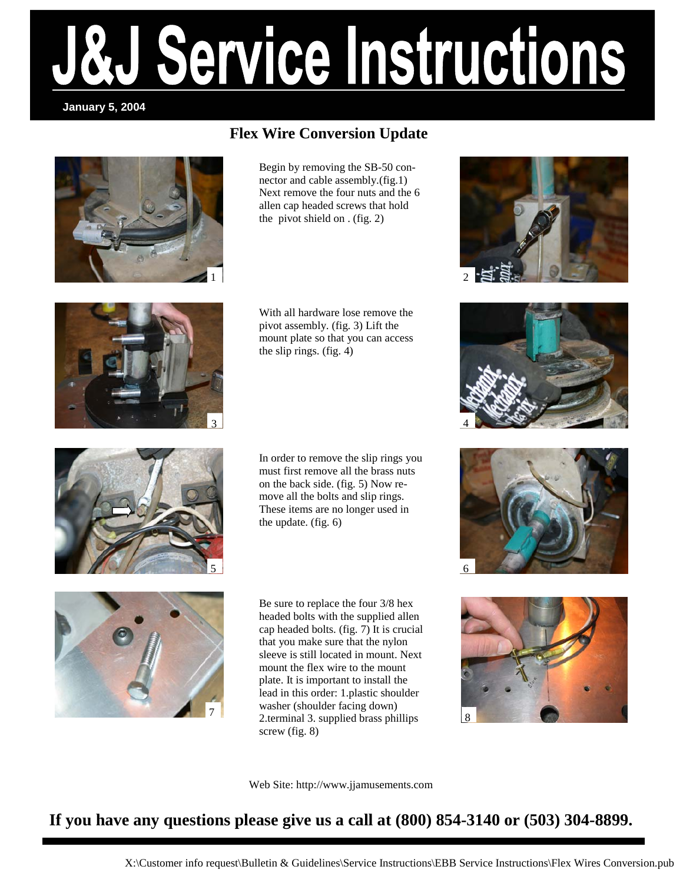### Service Instructions **January 5, 2004**

### **Flex Wire Conversion Update**



Begin by removing the SB-50 connector and cable assembly.(fig.1) Next remove the four nuts and the 6 allen cap headed screws that hold the pivot shield on . (fig. 2)



With all hardware lose remove the pivot assembly. (fig. 3) Lift the mount plate so that you can access the slip rings. (fig. 4)

In order to remove the slip rings you must first remove all the brass nuts on the back side. (fig. 5) Now remove all the bolts and slip rings. These items are no longer used in the update. (fig. 6)



Be sure to replace the four 3/8 hex headed bolts with the supplied allen cap headed bolts. (fig. 7) It is crucial that you make sure that the nylon sleeve is still located in mount. Next mount the flex wire to the mount plate. It is important to install the lead in this order: 1.plastic shoulder washer (shoulder facing down) 2.terminal 3. supplied brass phillips screw (fig. 8)

Web Site: http://www.jjamusements.com









**If you have any questions please give us a call at (800) 854-3140 or (503) 304-8899.**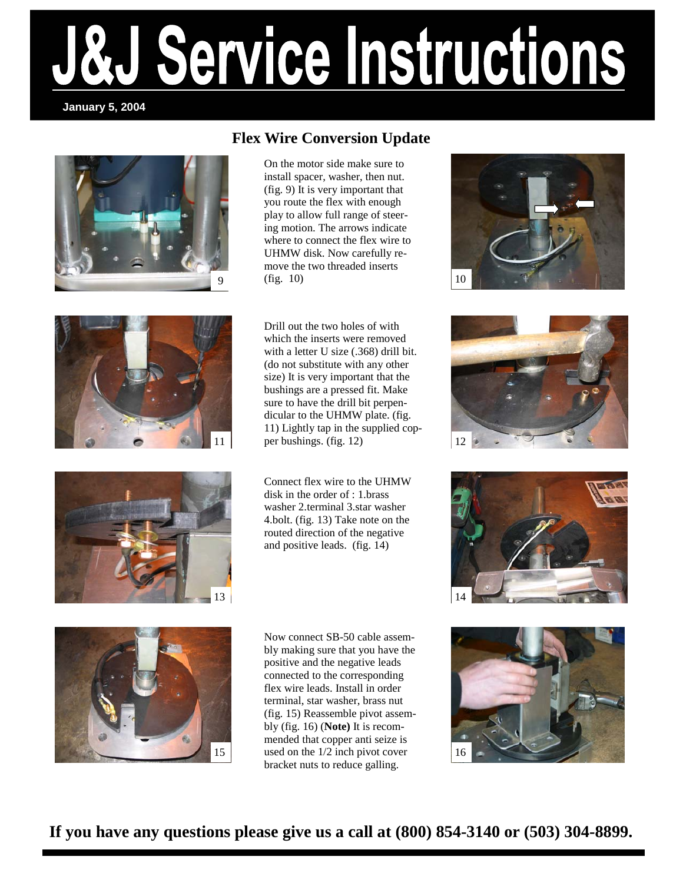# Service Instructions

#### **January 5, 2004**



#### **Flex Wire Conversion Update**

On the motor side make sure to install spacer, washer, then nut. (fig. 9) It is very important that you route the flex with enough play to allow full range of steering motion. The arrows indicate where to connect the flex wire to UHMW disk. Now carefully remove the two threaded inserts  $9 \t(fig. 10)$  | 10





11 | per bushings. (fig. 12)  $\vert$  12 Drill out the two holes of with which the inserts were removed with a letter U size (.368) drill bit. (do not substitute with any other size) It is very important that the bushings are a pressed fit. Make sure to have the drill bit perpendicular to the UHMW plate. (fig. 11) Lightly tap in the supplied cop-

> Connect flex wire to the UHMW disk in the order of : 1.brass washer 2.terminal 3.star washer 4.bolt. (fig. 13) Take note on the routed direction of the negative and positive leads. (fig. 14)









Now connect SB-50 cable assembly making sure that you have the positive and the negative leads connected to the corresponding flex wire leads. Install in order terminal, star washer, brass nut (fig. 15) Reassemble pivot assembly (fig. 16) (**Note)** It is recommended that copper anti seize is 15 used on the 1/2 inch pivot cover 16 bracket nuts to reduce galling.



**If you have any questions please give us a call at (800) 854-3140 or (503) 304-8899.**